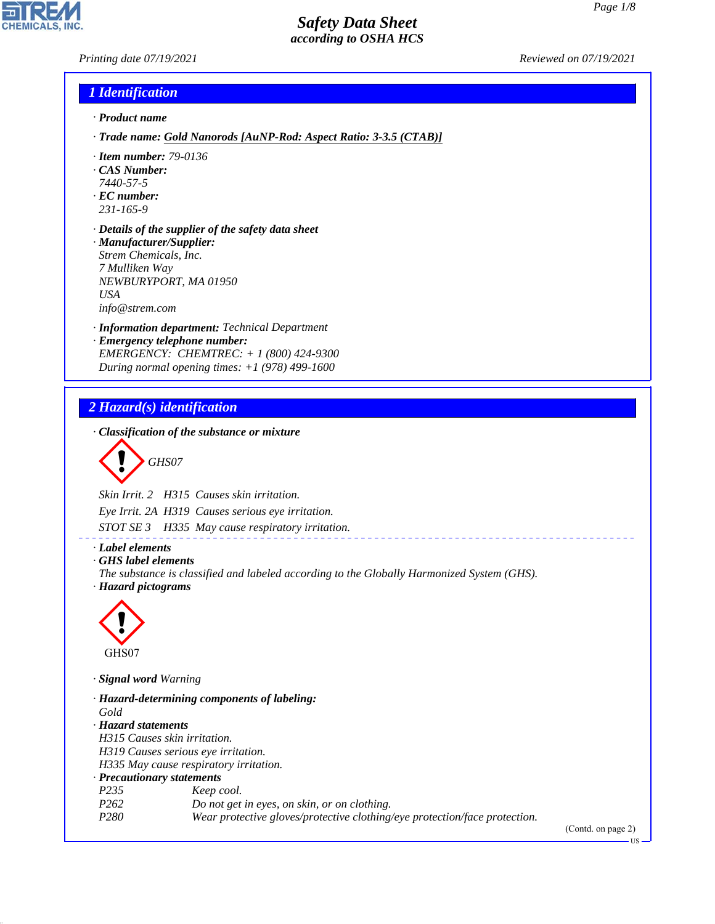*Printing date 07/19/2021 Reviewed on 07/19/2021*

**CHEMICALS.** 

| 1 Identification |
|------------------|
|                  |

- *· Product name*
- *· Trade name: Gold Nanorods [AuNP-Rod: Aspect Ratio: 3-3.5 (CTAB)]*
- *· Item number: 79-0136*
- *· CAS Number:*
- *7440-57-5*
- *· EC number: 231-165-9*
- 
- *· Details of the supplier of the safety data sheet · Manufacturer/Supplier: Strem Chemicals, Inc. 7 Mulliken Way NEWBURYPORT, MA 01950 USA info@strem.com*
- *· Information department: Technical Department*
- *· Emergency telephone number: EMERGENCY: CHEMTREC: + 1 (800) 424-9300 During normal opening times: +1 (978) 499-1600*

## *2 Hazard(s) identification*

*· Classification of the substance or mixture*

$$
\bigotimes \mathrm{GH}S07
$$

*Skin Irrit. 2 H315 Causes skin irritation.*

*Eye Irrit. 2A H319 Causes serious eye irritation.*

*STOT SE 3 H335 May cause respiratory irritation.*

*· Label elements*

*· GHS label elements*

*The substance is classified and labeled according to the Globally Harmonized System (GHS). · Hazard pictograms*

\_\_\_\_\_\_\_\_\_\_\_\_\_\_\_\_\_\_\_\_\_\_\_



44.1.1

*· Signal word Warning*

*· Hazard-determining components of labeling: Gold · Hazard statements H315 Causes skin irritation. H319 Causes serious eye irritation. H335 May cause respiratory irritation. · Precautionary statements P235 Keep cool. P262 Do not get in eyes, on skin, or on clothing. P280 Wear protective gloves/protective clothing/eye protection/face protection.*

(Contd. on page 2)

US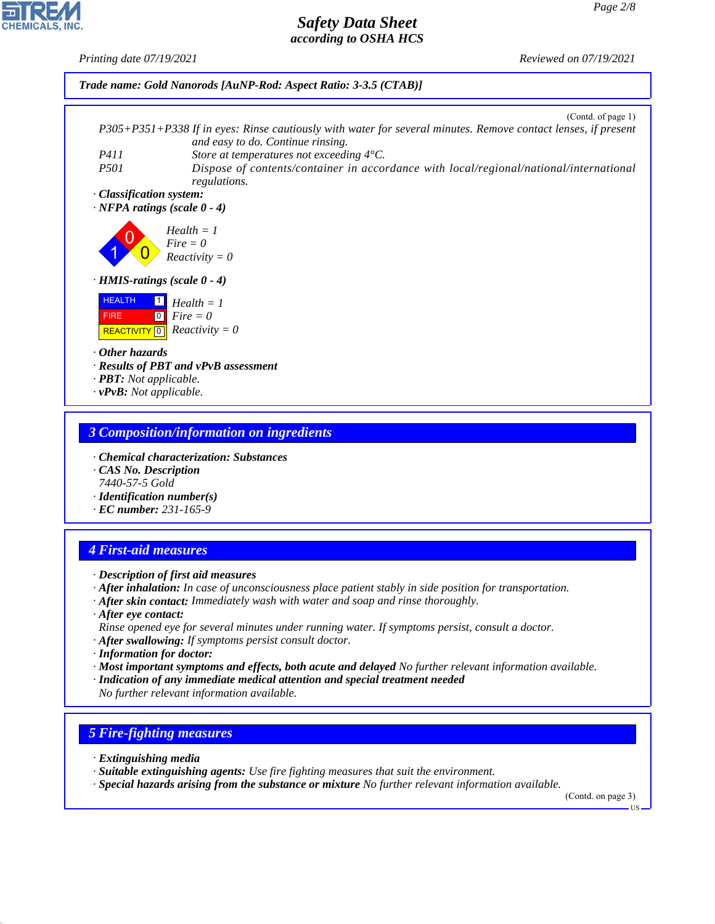*Printing date 07/19/2021 Reviewed on 07/19/2021*



*· vPvB: Not applicable.*

#### *3 Composition/information on ingredients*

- *· Chemical characterization: Substances*
- *· CAS No. Description 7440-57-5 Gold*
- *· Identification number(s)*
- *· EC number: 231-165-9*

## *4 First-aid measures*

- *· Description of first aid measures*
- *· After inhalation: In case of unconsciousness place patient stably in side position for transportation.*
- *· After skin contact: Immediately wash with water and soap and rinse thoroughly.*
- *· After eye contact: Rinse opened eye for several minutes under running water. If symptoms persist, consult a doctor.*
- *· After swallowing: If symptoms persist consult doctor.*
- *· Information for doctor:*
- *· Most important symptoms and effects, both acute and delayed No further relevant information available.*
- *· Indication of any immediate medical attention and special treatment needed No further relevant information available.*

### *5 Fire-fighting measures*

*· Extinguishing media*

44.1.1

- *· Suitable extinguishing agents: Use fire fighting measures that suit the environment.*
- *· Special hazards arising from the substance or mixture No further relevant information available.*

(Contd. on page 3)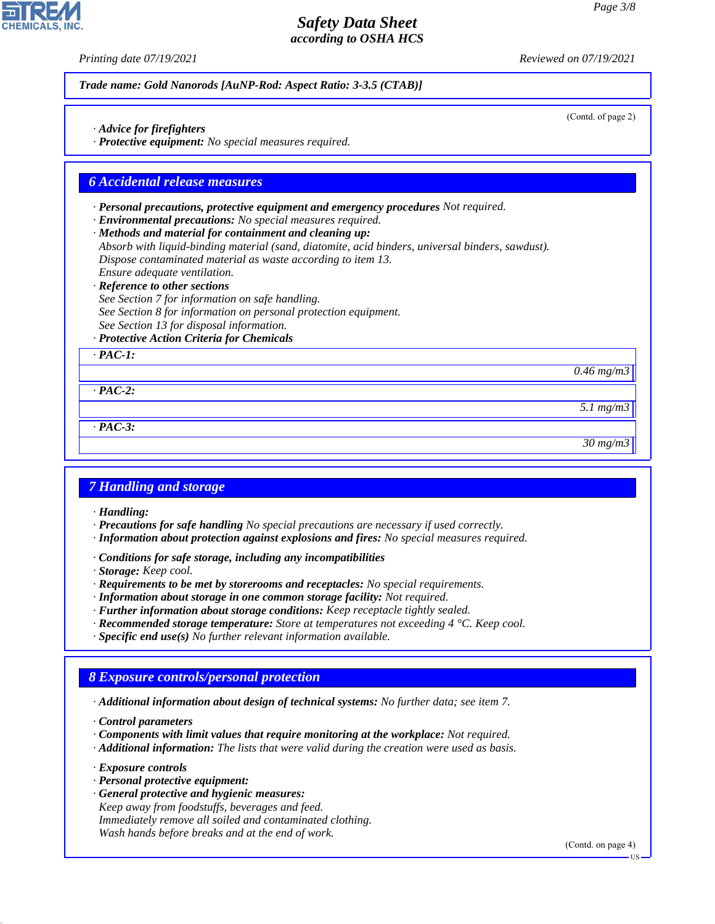(Contd. of page 2)

## *Safety Data Sheet according to OSHA HCS*

*Printing date 07/19/2021 Reviewed on 07/19/2021*

*Trade name: Gold Nanorods [AuNP-Rod: Aspect Ratio: 3-3.5 (CTAB)]*

- *· Advice for firefighters*
- *· Protective equipment: No special measures required.*

#### *6 Accidental release measures*

- *· Personal precautions, protective equipment and emergency procedures Not required.*
- *· Environmental precautions: No special measures required.*
- *· Methods and material for containment and cleaning up:*
- *Absorb with liquid-binding material (sand, diatomite, acid binders, universal binders, sawdust). Dispose contaminated material as waste according to item 13.*
- *Ensure adequate ventilation.*
- *· Reference to other sections*
- *See Section 7 for information on safe handling. See Section 8 for information on personal protection equipment. See Section 13 for disposal information.*
- *· Protective Action Criteria for Chemicals*

*· PAC-1:*

*0.46 mg/m3*

*5.1 mg/m3*

*· PAC-3:*

*· PAC-2:*

*30 mg/m3*

### *7 Handling and storage*

*· Handling:*

- *· Precautions for safe handling No special precautions are necessary if used correctly.*
- *· Information about protection against explosions and fires: No special measures required.*
- *· Conditions for safe storage, including any incompatibilities*
- *· Storage: Keep cool.*
- *· Requirements to be met by storerooms and receptacles: No special requirements.*
- *· Information about storage in one common storage facility: Not required.*
- *· Further information about storage conditions: Keep receptacle tightly sealed.*
- *· Recommended storage temperature: Store at temperatures not exceeding 4 °C. Keep cool.*
- *· Specific end use(s) No further relevant information available.*

# *8 Exposure controls/personal protection*

*· Additional information about design of technical systems: No further data; see item 7.*

*· Control parameters*

- *· Components with limit values that require monitoring at the workplace: Not required.*
- *· Additional information: The lists that were valid during the creation were used as basis.*

*· Exposure controls*

44.1.1

- *· Personal protective equipment:*
- *· General protective and hygienic measures: Keep away from foodstuffs, beverages and feed. Immediately remove all soiled and contaminated clothing. Wash hands before breaks and at the end of work.*

(Contd. on page 4)

US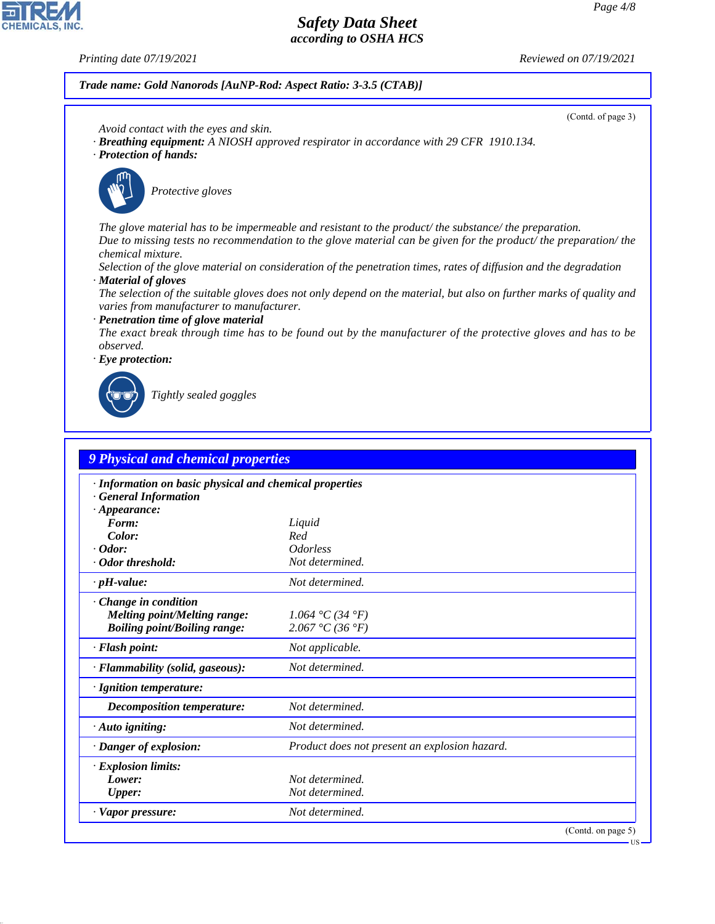**CHEMICALS, INC** 

*Printing date 07/19/2021 Reviewed on 07/19/2021*

*Trade name: Gold Nanorods [AuNP-Rod: Aspect Ratio: 3-3.5 (CTAB)]*

(Contd. of page 3)

- *Avoid contact with the eyes and skin.*
- *· Breathing equipment: A NIOSH approved respirator in accordance with 29 CFR 1910.134.*
- *· Protection of hands:*



\_S*Protective gloves*

*The glove material has to be impermeable and resistant to the product/ the substance/ the preparation. Due to missing tests no recommendation to the glove material can be given for the product/ the preparation/ the chemical mixture.*

*Selection of the glove material on consideration of the penetration times, rates of diffusion and the degradation · Material of gloves*

*The selection of the suitable gloves does not only depend on the material, but also on further marks of quality and varies from manufacturer to manufacturer.*

*· Penetration time of glove material*

*The exact break through time has to be found out by the manufacturer of the protective gloves and has to be observed.*

*· Eye protection:*



44.1.1

\_R*Tightly sealed goggles*

| · Information on basic physical and chemical properties<br><b>General Information</b> |                                               |  |  |  |
|---------------------------------------------------------------------------------------|-----------------------------------------------|--|--|--|
| $\cdot$ Appearance:                                                                   |                                               |  |  |  |
| Form:                                                                                 | Liquid                                        |  |  |  |
| Color:                                                                                | Red                                           |  |  |  |
| $\cdot$ Odor:                                                                         | <i><u><b>Odorless</b></u></i>                 |  |  |  |
| · Odor threshold:                                                                     | Not determined.                               |  |  |  |
| $\cdot$ pH-value:                                                                     | Not determined.                               |  |  |  |
| Change in condition                                                                   |                                               |  |  |  |
| <b>Melting point/Melting range:</b>                                                   | 1.064 °C (34 °F)                              |  |  |  |
| <b>Boiling point/Boiling range:</b>                                                   | 2.067 °C (36 °F)                              |  |  |  |
| · Flash point:                                                                        | Not applicable.                               |  |  |  |
| · Flammability (solid, gaseous):                                                      | Not determined.                               |  |  |  |
| · Ignition temperature:                                                               |                                               |  |  |  |
| <b>Decomposition temperature:</b>                                                     | Not determined.                               |  |  |  |
| $\cdot$ Auto igniting:                                                                | Not determined.                               |  |  |  |
| · Danger of explosion:                                                                | Product does not present an explosion hazard. |  |  |  |
| · Explosion limits:                                                                   |                                               |  |  |  |
| Lower:                                                                                | Not determined.                               |  |  |  |
| <b>Upper:</b>                                                                         | Not determined.                               |  |  |  |
| · Vapor pressure:                                                                     | Not determined.                               |  |  |  |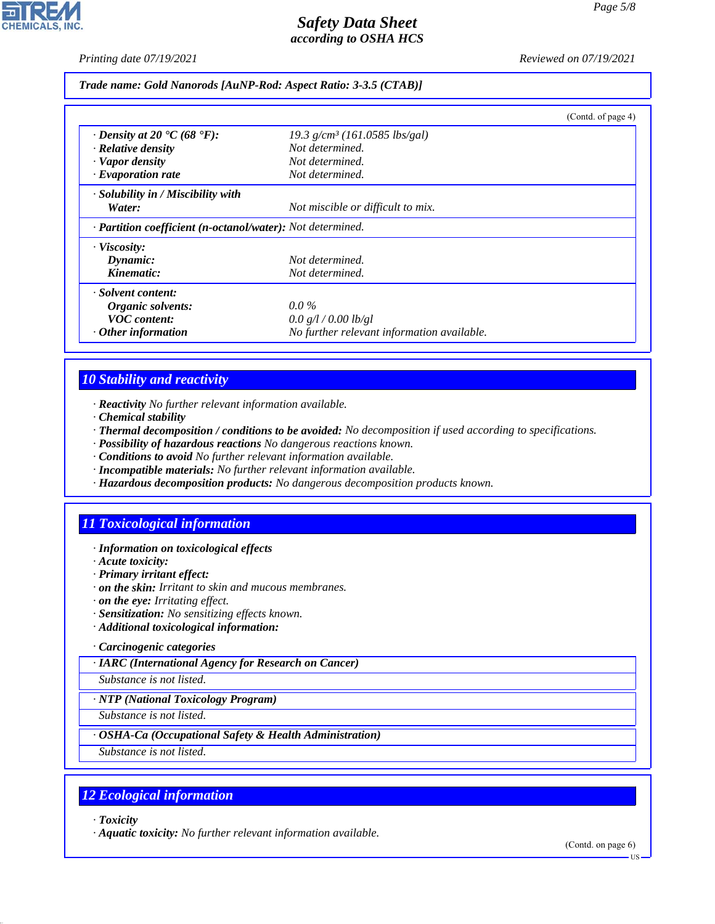*Printing date 07/19/2021 Reviewed on 07/19/2021*

*Trade name: Gold Nanorods [AuNP-Rod: Aspect Ratio: 3-3.5 (CTAB)]*

|                                                                         |                                             | (Contd. of page 4) |  |  |  |
|-------------------------------------------------------------------------|---------------------------------------------|--------------------|--|--|--|
| $\cdot$ Density at 20 $\cdot$ C (68 $\cdot$ F):                         | $19.3$ g/cm <sup>3</sup> (161.0585 lbs/gal) |                    |  |  |  |
| $\cdot$ Relative density                                                | Not determined.                             |                    |  |  |  |
| · Vapor density                                                         | Not determined.                             |                    |  |  |  |
| $\cdot$ Evaporation rate                                                | Not determined.                             |                    |  |  |  |
| $\cdot$ Solubility in / Miscibility with                                |                                             |                    |  |  |  |
| Water:                                                                  | Not miscible or difficult to mix.           |                    |  |  |  |
| $\cdot$ <b>Partition coefficient (n-octanol/water):</b> Not determined. |                                             |                    |  |  |  |
| · Viscosity:                                                            |                                             |                    |  |  |  |
| Dynamic:                                                                | Not determined.                             |                    |  |  |  |
| Kinematic:                                                              | Not determined.                             |                    |  |  |  |
| · Solvent content:                                                      |                                             |                    |  |  |  |
| Organic solvents:                                                       | $0.0\%$                                     |                    |  |  |  |
| <b>VOC</b> content:                                                     | 0.0 g/l / 0.00 lb/gl                        |                    |  |  |  |
| $\cdot$ Other information                                               | No further relevant information available.  |                    |  |  |  |

# *10 Stability and reactivity*

*· Reactivity No further relevant information available.*

- *· Chemical stability*
- *· Thermal decomposition / conditions to be avoided: No decomposition if used according to specifications.*
- *· Possibility of hazardous reactions No dangerous reactions known.*
- *· Conditions to avoid No further relevant information available.*
- *· Incompatible materials: No further relevant information available.*
- *· Hazardous decomposition products: No dangerous decomposition products known.*

# *11 Toxicological information*

#### *· Information on toxicological effects*

- *· Acute toxicity:*
- *· Primary irritant effect:*
- *· on the skin: Irritant to skin and mucous membranes.*
- *· on the eye: Irritating effect.*
- *· Sensitization: No sensitizing effects known.*
- *· Additional toxicological information:*
- *· Carcinogenic categories*

*· IARC (International Agency for Research on Cancer)*

*Substance is not listed.*

*· NTP (National Toxicology Program)*

*Substance is not listed.*

#### *· OSHA-Ca (Occupational Safety & Health Administration)*

*Substance is not listed.*

## *12 Ecological information*

*· Toxicity*

44.1.1

*· Aquatic toxicity: No further relevant information available.*

(Contd. on page 6)

US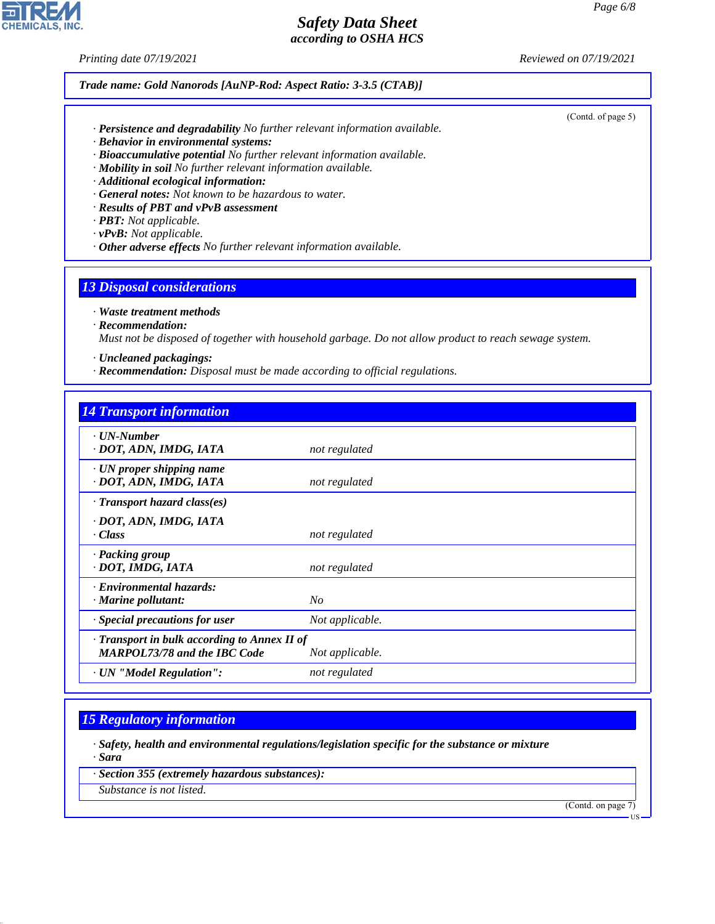*Printing date 07/19/2021 Reviewed on 07/19/2021*

*Trade name: Gold Nanorods [AuNP-Rod: Aspect Ratio: 3-3.5 (CTAB)]*

*· Persistence and degradability No further relevant information available.*

- *· Behavior in environmental systems:*
- *· Bioaccumulative potential No further relevant information available.*
- *· Mobility in soil No further relevant information available.*
- *· Additional ecological information:*
- *· General notes: Not known to be hazardous to water.*
- *· Results of PBT and vPvB assessment*
- *· PBT: Not applicable.*
- *· vPvB: Not applicable.*
- *· Other adverse effects No further relevant information available.*

### *13 Disposal considerations*

*· Waste treatment methods*

*· Recommendation:*

*Must not be disposed of together with household garbage. Do not allow product to reach sewage system.*

*· Uncleaned packagings:*

*· Recommendation: Disposal must be made according to official regulations.*

### *14 Transport information*

| not regulated                                                   |
|-----------------------------------------------------------------|
| not regulated                                                   |
|                                                                 |
| not regulated                                                   |
| not regulated                                                   |
| $N_{O}$                                                         |
| Not applicable.                                                 |
| · Transport in bulk according to Annex II of<br>Not applicable. |
| not regulated                                                   |
|                                                                 |

## *15 Regulatory information*

*· Safety, health and environmental regulations/legislation specific for the substance or mixture · Sara*

*· Section 355 (extremely hazardous substances):*

*Substance is not listed.*

44.1.1

(Contd. on page 7)



#### (Contd. of page 5)

US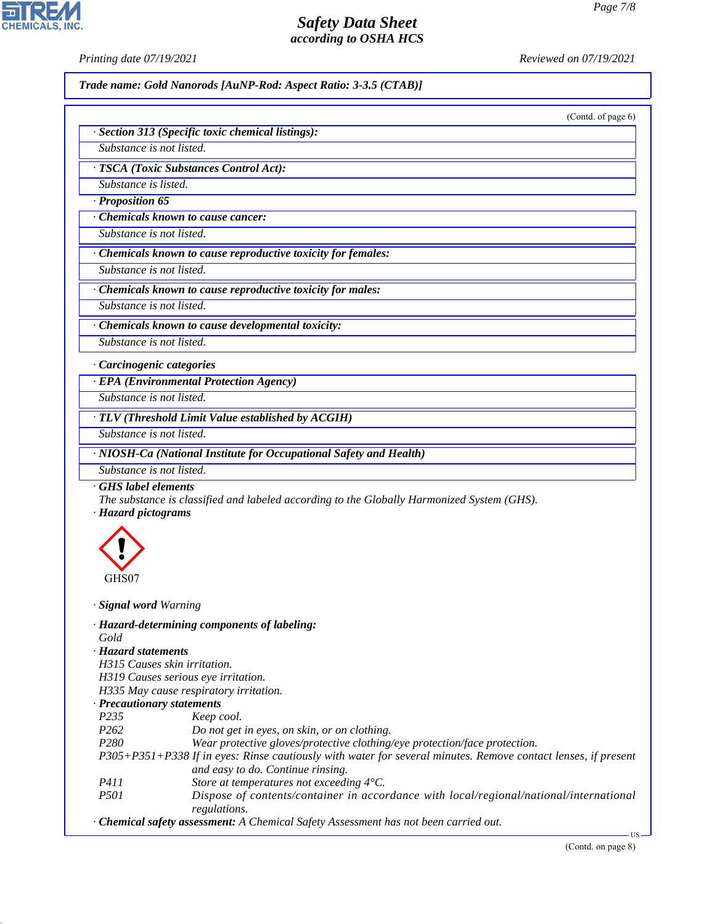**CHEMICALS, INC** 

*Printing date 07/19/2021 Reviewed on 07/19/2021*

*Trade name: Gold Nanorods [AuNP-Rod: Aspect Ratio: 3-3.5 (CTAB)]*

(Contd. of page 6)

| · Section 313 (Specific toxic chemical listings): |  |  |
|---------------------------------------------------|--|--|
|                                                   |  |  |

*Substance is not listed. · TSCA (Toxic Substances Control Act):*

*Substance is listed.*

*· Proposition 65*

*· Chemicals known to cause cancer:*

*Substance is not listed.*

*· Chemicals known to cause reproductive toxicity for females:*

*Substance is not listed.*

*· Chemicals known to cause reproductive toxicity for males:*

*Substance is not listed.*

*· Chemicals known to cause developmental toxicity: Substance is not listed.*

*· Carcinogenic categories*

*· EPA (Environmental Protection Agency)*

*Substance is not listed.*

*· TLV (Threshold Limit Value established by ACGIH)*

*Substance is not listed.*

*· NIOSH-Ca (National Institute for Occupational Safety and Health)*

*Substance is not listed.*

*· GHS label elements*

*The substance is classified and labeled according to the Globally Harmonized System (GHS).*

*· Hazard pictograms*



44.1.1

*· Signal word Warning*

*· Hazard-determining components of labeling: Gold · Hazard statements H315 Causes skin irritation. H319 Causes serious eye irritation. H335 May cause respiratory irritation.*

#### *· Precautionary statements*

- *P235 Keep cool.*
- *P262 Do not get in eyes, on skin, or on clothing.*

*P280 Wear protective gloves/protective clothing/eye protection/face protection.*

*P305+P351+P338 If in eyes: Rinse cautiously with water for several minutes. Remove contact lenses, if present and easy to do. Continue rinsing.*

- *P411 Store at temperatures not exceeding 4°C.*
- *P501 Dispose of contents/container in accordance with local/regional/national/international regulations.*
- *· Chemical safety assessment: A Chemical Safety Assessment has not been carried out.*

US